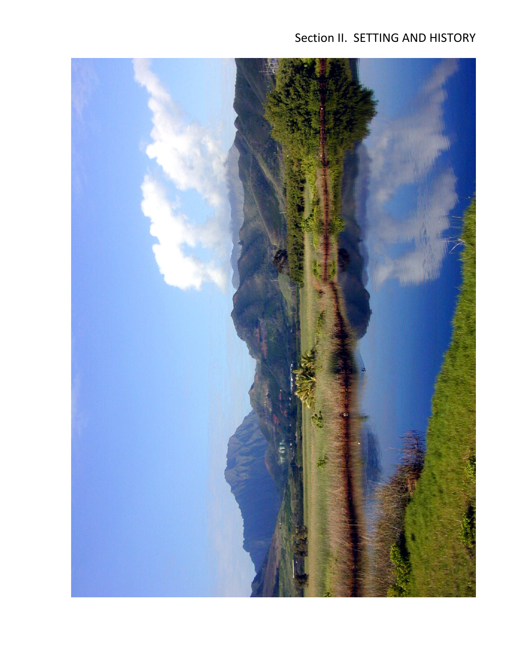# Section II. SETTING AND HISTORY

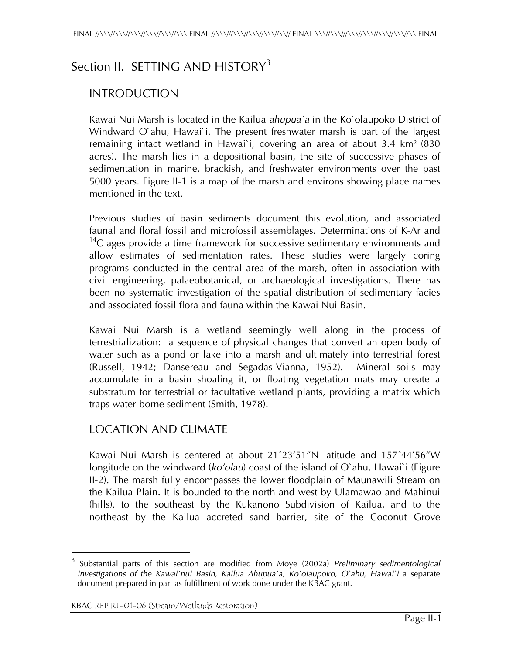## Section II. SETTING AND HISTORY<sup>3</sup>

### INTRODUCTION

Kawai Nui Marsh is located in the Kailua *ahupua`a* in the Ko`olaupoko District of Windward O`ahu, Hawai`i. The present freshwater marsh is part of the largest remaining intact wetland in Hawai'i, covering an area of about  $3.4 \text{ km}^2$  (830) acres). The marsh lies in a depositional basin, the site of successive phases of sedimentation in marine, brackish, and freshwater environments over the past 5000 years. Figure II-1 is a map of the marsh and environs showing place names mentioned in the text.

Previous studies of basin sediments document this evolution, and associated faunal and floral fossil and microfossil assemblages. Determinations of K-Ar and  $14$ C ages provide a time framework for successive sedimentary environments and allow estimates of sedimentation rates. These studies were largely coring programs conducted in the central area of the marsh, often in association with civil engineering, palaeobotanical, or archaeological investigations. There has been no systematic investigation of the spatial distribution of sedimentary facies and associated fossil flora and fauna within the Kawai Nui Basin.

Kawai Nui Marsh is a wetland seemingly well along in the process of terrestrialization: a sequence of physical changes that convert an open body of water such as a pond or lake into a marsh and ultimately into terrestrial forest (Russell, 1942; Dansereau and Segadas-Vianna, 1952). Mineral soils may accumulate in a basin shoaling it, or floating vegetation mats may create a substratum for terrestrial or facultative wetland plants, providing a matrix which traps water-borne sediment (Smith, 1978).

### LOCATION AND CLIMATE

Kawai Nui Marsh is centered at about 21˚23'51"N latitude and 157˚44'56"W longitude on the windward (*ko'olau*) coast of the island of O`ahu, Hawai`i (Figure II-2). The marsh fully encompasses the lower floodplain of Maunawili Stream on the Kailua Plain. It is bounded to the north and west by Ulamawao and Mahinui (hills), to the southeast by the Kukanono Subdivision of Kailua, and to the northeast by the Kailua accreted sand barrier, site of the Coconut Grove

 $\overline{a}$ 

<sup>3</sup> Substantial parts of this section are modified from Moye (2002a) *Preliminary sedimentological investigations of the Kawai`nui Basin, Kailua Ahupua`a, Ko`olaupoko, O`ahu, Hawai`i a separate* document prepared in part as fulfillment of work done under the KBAC grant.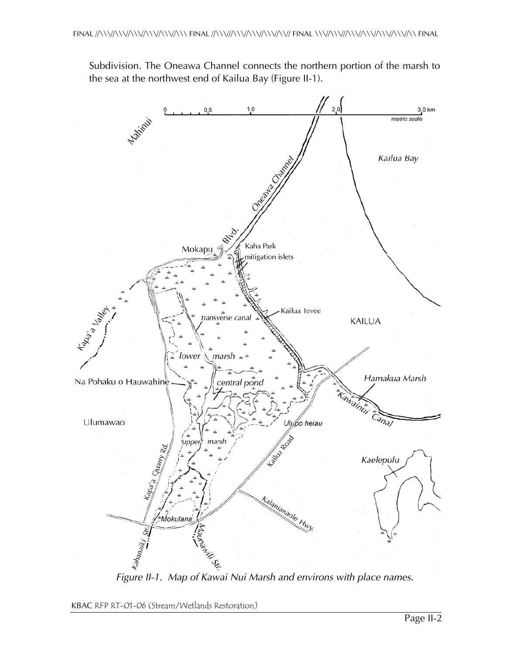Subdivision. The Oneawa Channel connects the northern portion of the marsh to the sea at the northwest end of Kailua Bay (Figure II-1).

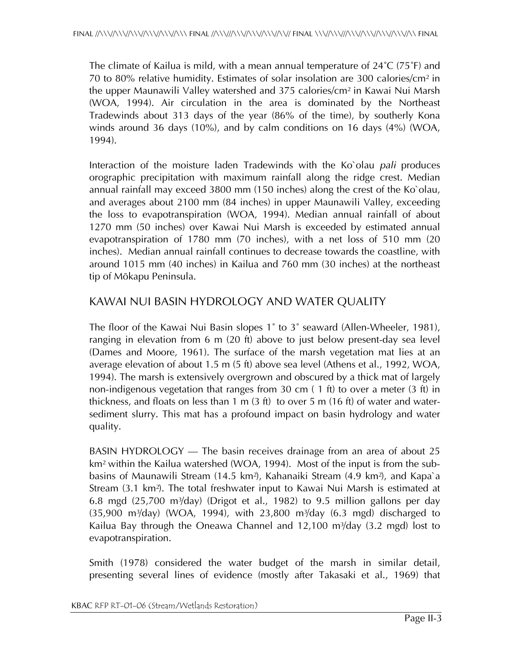The climate of Kailua is mild, with a mean annual temperature of 24˚C (75˚F) and 70 to 80% relative humidity. Estimates of solar insolation are 300 calories/cm² in the upper Maunawili Valley watershed and 375 calories/cm² in Kawai Nui Marsh (WOA, 1994). Air circulation in the area is dominated by the Northeast Tradewinds about 313 days of the year (86% of the time), by southerly Kona winds around 36 days (10%), and by calm conditions on 16 days (4%) (WOA, 1994).

Interaction of the moisture laden Tradewinds with the Ko`olau *pali* produces orographic precipitation with maximum rainfall along the ridge crest. Median annual rainfall may exceed 3800 mm (150 inches) along the crest of the Ko`olau, and averages about 2100 mm (84 inches) in upper Maunawili Valley, exceeding the loss to evapotranspiration (WOA, 1994). Median annual rainfall of about 1270 mm (50 inches) over Kawai Nui Marsh is exceeded by estimated annual evapotranspiration of 1780 mm (70 inches), with a net loss of 510 mm (20 inches). Median annual rainfall continues to decrease towards the coastline, with around 1015 mm (40 inches) in Kailua and 760 mm (30 inches) at the northeast tip of Mökapu Peninsula.

### KAWAI NUI BASIN HYDROLOGY AND WATER QUALITY

The floor of the Kawai Nui Basin slopes 1˚ to 3˚ seaward (Allen-Wheeler, 1981), ranging in elevation from 6 m (20 ft) above to just below present-day sea level (Dames and Moore, 1961). The surface of the marsh vegetation mat lies at an average elevation of about 1.5 m (5 ft) above sea level (Athens et al., 1992, WOA, 1994). The marsh is extensively overgrown and obscured by a thick mat of largely non-indigenous vegetation that ranges from 30 cm ( 1 ft) to over a meter (3 ft) in thickness, and floats on less than 1 m (3 ft) to over 5 m (16 ft) of water and watersediment slurry. This mat has a profound impact on basin hydrology and water quality.

BASIN HYDROLOGY — The basin receives drainage from an area of about 25 km² within the Kailua watershed (WOA, 1994). Most of the input is from the subbasins of Maunawili Stream (14.5 km²), Kahanaiki Stream (4.9 km²), and Kapa`a Stream (3.1 km²). The total freshwater input to Kawai Nui Marsh is estimated at 6.8 mgd  $(25,700 \text{ m}^3/\text{day})$  (Drigot et al., 1982) to 9.5 million gallons per day  $(35,900 \text{ m}^3/\text{day})$  (WOA, 1994), with  $23,800 \text{ m}^3/\text{day}$  (6.3 mgd) discharged to Kailua Bay through the Oneawa Channel and  $12,100$  m $\frac{3}{day}$  (3.2 mgd) lost to evapotranspiration.

Smith (1978) considered the water budget of the marsh in similar detail, presenting several lines of evidence (mostly after Takasaki et al., 1969) that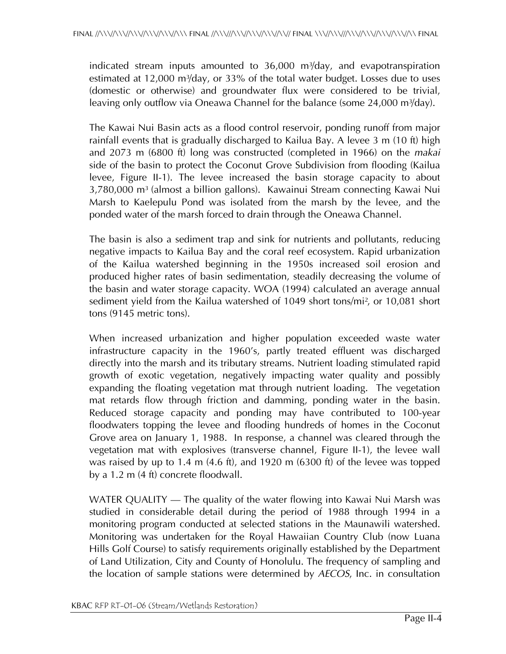indicated stream inputs amounted to  $36,000$  m $3/$ day, and evapotranspiration estimated at  $12,000$  m<sup>3</sup>/day, or  $33\%$  of the total water budget. Losses due to uses (domestic or otherwise) and groundwater flux were considered to be trivial, leaving only outflow via Oneawa Channel for the balance (some 24,000 m<sup>3</sup>/day).

The Kawai Nui Basin acts as a flood control reservoir, ponding runoff from major rainfall events that is gradually discharged to Kailua Bay. A levee 3 m (10 ft) high and 2073 m (6800 ft) long was constructed (completed in 1966) on the *makai* side of the basin to protect the Coconut Grove Subdivision from flooding (Kailua levee, Figure II-1). The levee increased the basin storage capacity to about  $3,780,000$  m<sup>3</sup> (almost a billion gallons). Kawainui Stream connecting Kawai Nui Marsh to Kaelepulu Pond was isolated from the marsh by the levee, and the ponded water of the marsh forced to drain through the Oneawa Channel.

The basin is also a sediment trap and sink for nutrients and pollutants, reducing negative impacts to Kailua Bay and the coral reef ecosystem. Rapid urbanization of the Kailua watershed beginning in the 1950s increased soil erosion and produced higher rates of basin sedimentation, steadily decreasing the volume of the basin and water storage capacity. WOA (1994) calculated an average annual sediment yield from the Kailua watershed of 1049 short tons/mi<sup>2</sup>, or 10,081 short tons (9145 metric tons).

When increased urbanization and higher population exceeded waste water infrastructure capacity in the 1960's, partly treated effluent was discharged directly into the marsh and its tributary streams. Nutrient loading stimulated rapid growth of exotic vegetation, negatively impacting water quality and possibly expanding the floating vegetation mat through nutrient loading. The vegetation mat retards flow through friction and damming, ponding water in the basin. Reduced storage capacity and ponding may have contributed to 100-year floodwaters topping the levee and flooding hundreds of homes in the Coconut Grove area on January 1, 1988. In response, a channel was cleared through the vegetation mat with explosives (transverse channel, Figure II-1), the levee wall was raised by up to 1.4 m (4.6 ft), and 1920 m (6300 ft) of the levee was topped by a 1.2 m (4 ft) concrete floodwall.

WATER QUALITY — The quality of the water flowing into Kawai Nui Marsh was studied in considerable detail during the period of 1988 through 1994 in a monitoring program conducted at selected stations in the Maunawili watershed. Monitoring was undertaken for the Royal Hawaiian Country Club (now Luana Hills Golf Course) to satisfy requirements originally established by the Department of Land Utilization, City and County of Honolulu. The frequency of sampling and the location of sample stations were determined by *AECOS*, Inc. in consultation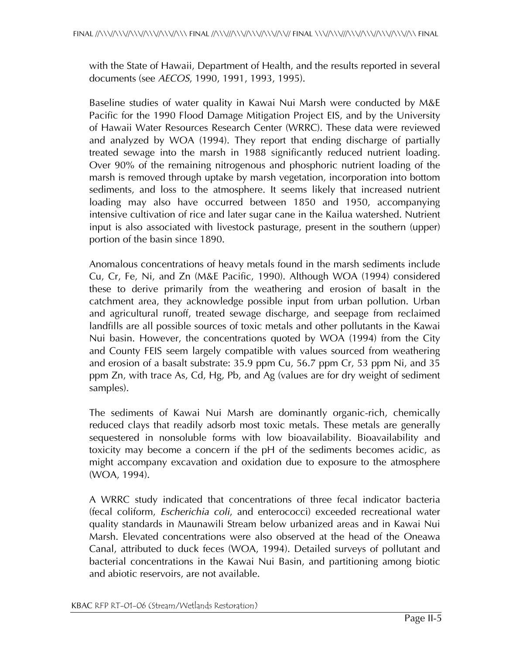with the State of Hawaii, Department of Health, and the results reported in several documents (see *AECOS*, 1990, 1991, 1993, 1995).

Baseline studies of water quality in Kawai Nui Marsh were conducted by M&E Pacific for the 1990 Flood Damage Mitigation Project EIS, and by the University of Hawaii Water Resources Research Center (WRRC). These data were reviewed and analyzed by WOA (1994). They report that ending discharge of partially treated sewage into the marsh in 1988 significantly reduced nutrient loading. Over 90% of the remaining nitrogenous and phosphoric nutrient loading of the marsh is removed through uptake by marsh vegetation, incorporation into bottom sediments, and loss to the atmosphere. It seems likely that increased nutrient loading may also have occurred between 1850 and 1950, accompanying intensive cultivation of rice and later sugar cane in the Kailua watershed. Nutrient input is also associated with livestock pasturage, present in the southern (upper) portion of the basin since 1890.

Anomalous concentrations of heavy metals found in the marsh sediments include Cu, Cr, Fe, Ni, and Zn (M&E Pacific, 1990). Although WOA (1994) considered these to derive primarily from the weathering and erosion of basalt in the catchment area, they acknowledge possible input from urban pollution. Urban and agricultural runoff, treated sewage discharge, and seepage from reclaimed landfills are all possible sources of toxic metals and other pollutants in the Kawai Nui basin. However, the concentrations quoted by WOA (1994) from the City and County FEIS seem largely compatible with values sourced from weathering and erosion of a basalt substrate: 35.9 ppm Cu, 56.7 ppm Cr, 53 ppm Ni, and 35 ppm Zn, with trace As, Cd, Hg, Pb, and Ag (values are for dry weight of sediment samples).

The sediments of Kawai Nui Marsh are dominantly organic-rich, chemically reduced clays that readily adsorb most toxic metals. These metals are generally sequestered in nonsoluble forms with low bioavailability. Bioavailability and toxicity may become a concern if the pH of the sediments becomes acidic, as might accompany excavation and oxidation due to exposure to the atmosphere (WOA, 1994).

A WRRC study indicated that concentrations of three fecal indicator bacteria (fecal coliform, *Escherichia coli*, and enterococci) exceeded recreational water quality standards in Maunawili Stream below urbanized areas and in Kawai Nui Marsh. Elevated concentrations were also observed at the head of the Oneawa Canal, attributed to duck feces (WOA, 1994). Detailed surveys of pollutant and bacterial concentrations in the Kawai Nui Basin, and partitioning among biotic and abiotic reservoirs, are not available.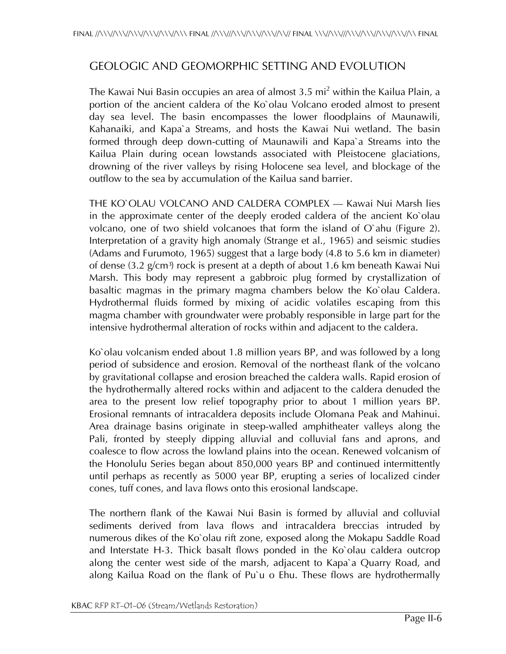### GEOLOGIC AND GEOMORPHIC SETTING AND EVOLUTION

The Kawai Nui Basin occupies an area of almost 3.5 mi $^2$  within the Kailua Plain, a portion of the ancient caldera of the Ko`olau Volcano eroded almost to present day sea level. The basin encompasses the lower floodplains of Maunawili, Kahanaiki, and Kapa`a Streams, and hosts the Kawai Nui wetland. The basin formed through deep down-cutting of Maunawili and Kapa`a Streams into the Kailua Plain during ocean lowstands associated with Pleistocene glaciations, drowning of the river valleys by rising Holocene sea level, and blockage of the outflow to the sea by accumulation of the Kailua sand barrier.

THE KO`OLAU VOLCANO AND CALDERA COMPLEX — Kawai Nui Marsh lies in the approximate center of the deeply eroded caldera of the ancient Ko`olau volcano, one of two shield volcanoes that form the island of O`ahu (Figure 2). Interpretation of a gravity high anomaly (Strange et al., 1965) and seismic studies (Adams and Furumoto, 1965) suggest that a large body (4.8 to 5.6 km in diameter) of dense  $(3.2 \text{ g/cm}^3)$  rock is present at a depth of about 1.6 km beneath Kawai Nui Marsh. This body may represent a gabbroic plug formed by crystallization of basaltic magmas in the primary magma chambers below the Ko`olau Caldera. Hydrothermal fluids formed by mixing of acidic volatiles escaping from this magma chamber with groundwater were probably responsible in large part for the intensive hydrothermal alteration of rocks within and adjacent to the caldera.

Ko`olau volcanism ended about 1.8 million years BP, and was followed by a long period of subsidence and erosion. Removal of the northeast flank of the volcano by gravitational collapse and erosion breached the caldera walls. Rapid erosion of the hydrothermally altered rocks within and adjacent to the caldera denuded the area to the present low relief topography prior to about 1 million years BP. Erosional remnants of intracaldera deposits include Olomana Peak and Mahinui. Area drainage basins originate in steep-walled amphitheater valleys along the Pali, fronted by steeply dipping alluvial and colluvial fans and aprons, and coalesce to flow across the lowland plains into the ocean. Renewed volcanism of the Honolulu Series began about 850,000 years BP and continued intermittently until perhaps as recently as 5000 year BP, erupting a series of localized cinder cones, tuff cones, and lava flows onto this erosional landscape.

The northern flank of the Kawai Nui Basin is formed by alluvial and colluvial sediments derived from lava flows and intracaldera breccias intruded by numerous dikes of the Ko`olau rift zone, exposed along the Mokapu Saddle Road and Interstate H-3. Thick basalt flows ponded in the Ko`olau caldera outcrop along the center west side of the marsh, adjacent to Kapa`a Quarry Road, and along Kailua Road on the flank of Pu`u o Ehu. These flows are hydrothermally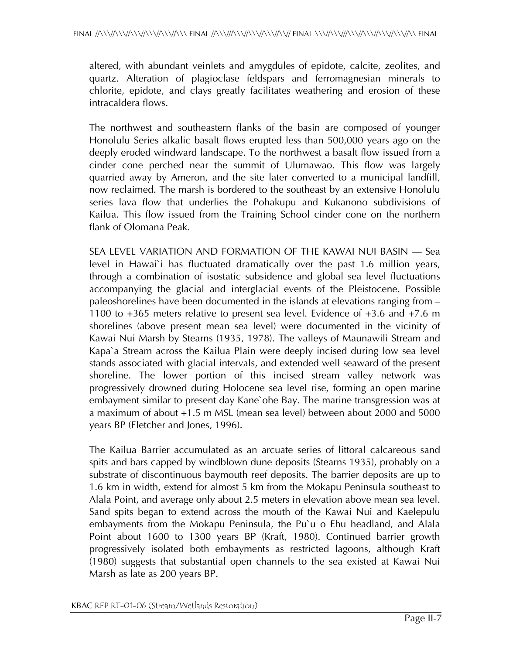altered, with abundant veinlets and amygdules of epidote, calcite, zeolites, and quartz. Alteration of plagioclase feldspars and ferromagnesian minerals to chlorite, epidote, and clays greatly facilitates weathering and erosion of these intracaldera flows.

The northwest and southeastern flanks of the basin are composed of younger Honolulu Series alkalic basalt flows erupted less than 500,000 years ago on the deeply eroded windward landscape. To the northwest a basalt flow issued from a cinder cone perched near the summit of Ulumawao. This flow was largely quarried away by Ameron, and the site later converted to a municipal landfill, now reclaimed. The marsh is bordered to the southeast by an extensive Honolulu series lava flow that underlies the Pohakupu and Kukanono subdivisions of Kailua. This flow issued from the Training School cinder cone on the northern flank of Olomana Peak.

SEA LEVEL VARIATION AND FORMATION OF THE KAWAI NUI BASIN — Sea level in Hawai`i has fluctuated dramatically over the past 1.6 million years, through a combination of isostatic subsidence and global sea level fluctuations accompanying the glacial and interglacial events of the Pleistocene. Possible paleoshorelines have been documented in the islands at elevations ranging from – 1100 to +365 meters relative to present sea level. Evidence of +3.6 and +7.6 m shorelines (above present mean sea level) were documented in the vicinity of Kawai Nui Marsh by Stearns (1935, 1978). The valleys of Maunawili Stream and Kapa`a Stream across the Kailua Plain were deeply incised during low sea level stands associated with glacial intervals, and extended well seaward of the present shoreline. The lower portion of this incised stream valley network was progressively drowned during Holocene sea level rise, forming an open marine embayment similar to present day Kane`ohe Bay. The marine transgression was at a maximum of about +1.5 m MSL (mean sea level) between about 2000 and 5000 years BP (Fletcher and Jones, 1996).

The Kailua Barrier accumulated as an arcuate series of littoral calcareous sand spits and bars capped by windblown dune deposits (Stearns 1935), probably on a substrate of discontinuous baymouth reef deposits. The barrier deposits are up to 1.6 km in width, extend for almost 5 km from the Mokapu Peninsula southeast to Alala Point, and average only about 2.5 meters in elevation above mean sea level. Sand spits began to extend across the mouth of the Kawai Nui and Kaelepulu embayments from the Mokapu Peninsula, the Pu`u o Ehu headland, and Alala Point about 1600 to 1300 years BP (Kraft, 1980). Continued barrier growth progressively isolated both embayments as restricted lagoons, although Kraft (1980) suggests that substantial open channels to the sea existed at Kawai Nui Marsh as late as 200 years BP.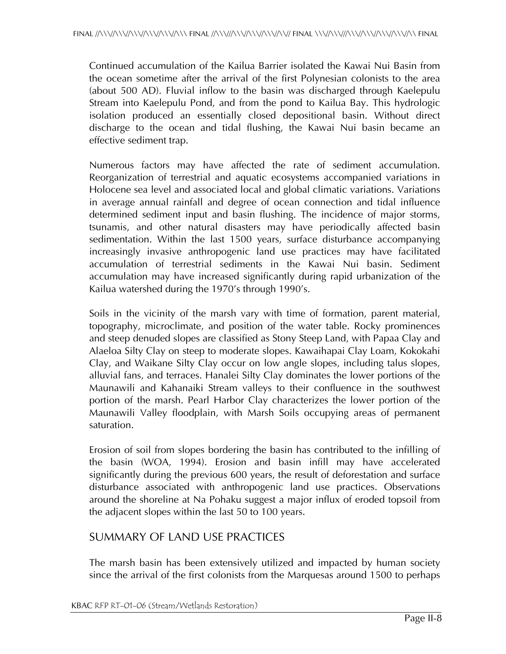Continued accumulation of the Kailua Barrier isolated the Kawai Nui Basin from the ocean sometime after the arrival of the first Polynesian colonists to the area (about 500 AD). Fluvial inflow to the basin was discharged through Kaelepulu Stream into Kaelepulu Pond, and from the pond to Kailua Bay. This hydrologic isolation produced an essentially closed depositional basin. Without direct discharge to the ocean and tidal flushing, the Kawai Nui basin became an effective sediment trap.

Numerous factors may have affected the rate of sediment accumulation. Reorganization of terrestrial and aquatic ecosystems accompanied variations in Holocene sea level and associated local and global climatic variations. Variations in average annual rainfall and degree of ocean connection and tidal influence determined sediment input and basin flushing. The incidence of major storms, tsunamis, and other natural disasters may have periodically affected basin sedimentation. Within the last 1500 years, surface disturbance accompanying increasingly invasive anthropogenic land use practices may have facilitated accumulation of terrestrial sediments in the Kawai Nui basin. Sediment accumulation may have increased significantly during rapid urbanization of the Kailua watershed during the 1970's through 1990's.

Soils in the vicinity of the marsh vary with time of formation, parent material, topography, microclimate, and position of the water table. Rocky prominences and steep denuded slopes are classified as Stony Steep Land, with Papaa Clay and Alaeloa Silty Clay on steep to moderate slopes. Kawaihapai Clay Loam, Kokokahi Clay, and Waikane Silty Clay occur on low angle slopes, including talus slopes, alluvial fans, and terraces. Hanalei Silty Clay dominates the lower portions of the Maunawili and Kahanaiki Stream valleys to their confluence in the southwest portion of the marsh. Pearl Harbor Clay characterizes the lower portion of the Maunawili Valley floodplain, with Marsh Soils occupying areas of permanent saturation.

Erosion of soil from slopes bordering the basin has contributed to the infilling of the basin (WOA, 1994). Erosion and basin infill may have accelerated significantly during the previous 600 years, the result of deforestation and surface disturbance associated with anthropogenic land use practices. Observations around the shoreline at Na Pohaku suggest a major influx of eroded topsoil from the adjacent slopes within the last 50 to 100 years.

### SUMMARY OF LAND USE PRACTICES

The marsh basin has been extensively utilized and impacted by human society since the arrival of the first colonists from the Marquesas around 1500 to perhaps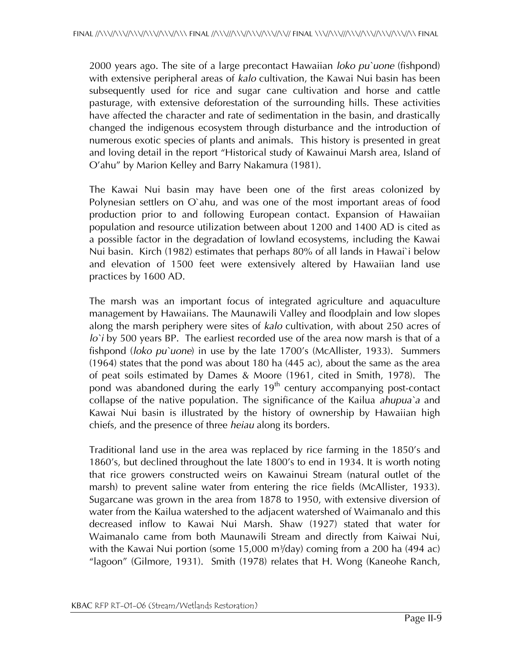2000 years ago. The site of a large precontact Hawaiian *loko pu`uone* (fishpond) with extensive peripheral areas of *kalo* cultivation, the Kawai Nui basin has been subsequently used for rice and sugar cane cultivation and horse and cattle pasturage, with extensive deforestation of the surrounding hills. These activities have affected the character and rate of sedimentation in the basin, and drastically changed the indigenous ecosystem through disturbance and the introduction of numerous exotic species of plants and animals. This history is presented in great and loving detail in the report "Historical study of Kawainui Marsh area, Island of O'ahu" by Marion Kelley and Barry Nakamura (1981).

The Kawai Nui basin may have been one of the first areas colonized by Polynesian settlers on O`ahu, and was one of the most important areas of food production prior to and following European contact. Expansion of Hawaiian population and resource utilization between about 1200 and 1400 AD is cited as a possible factor in the degradation of lowland ecosystems, including the Kawai Nui basin. Kirch (1982) estimates that perhaps 80% of all lands in Hawai`i below and elevation of 1500 feet were extensively altered by Hawaiian land use practices by 1600 AD.

The marsh was an important focus of integrated agriculture and aquaculture management by Hawaiians. The Maunawili Valley and floodplain and low slopes along the marsh periphery were sites of *kalo* cultivation, with about 250 acres of *lo`i* by 500 years BP. The earliest recorded use of the area now marsh is that of a fishpond (*loko pu`uone*) in use by the late 1700's (McAllister, 1933). Summers (1964) states that the pond was about 180 ha (445 ac), about the same as the area of peat soils estimated by Dames & Moore (1961, cited in Smith, 1978). The pond was abandoned during the early  $19<sup>th</sup>$  century accompanying post-contact collapse of the native population. The significance of the Kailua *ahupua`a* and Kawai Nui basin is illustrated by the history of ownership by Hawaiian high chiefs, and the presence of three *heiau* along its borders.

Traditional land use in the area was replaced by rice farming in the 1850's and 1860's, but declined throughout the late 1800's to end in 1934. It is worth noting that rice growers constructed weirs on Kawainui Stream (natural outlet of the marsh) to prevent saline water from entering the rice fields (McAllister, 1933). Sugarcane was grown in the area from 1878 to 1950, with extensive diversion of water from the Kailua watershed to the adjacent watershed of Waimanalo and this decreased inflow to Kawai Nui Marsh. Shaw (1927) stated that water for Waimanalo came from both Maunawili Stream and directly from Kaiwai Nui, with the Kawai Nui portion (some  $15,000$  m $\frac{3}{day}$ ) coming from a 200 ha (494 ac) "lagoon" (Gilmore, 1931). Smith (1978) relates that H. Wong (Kaneohe Ranch,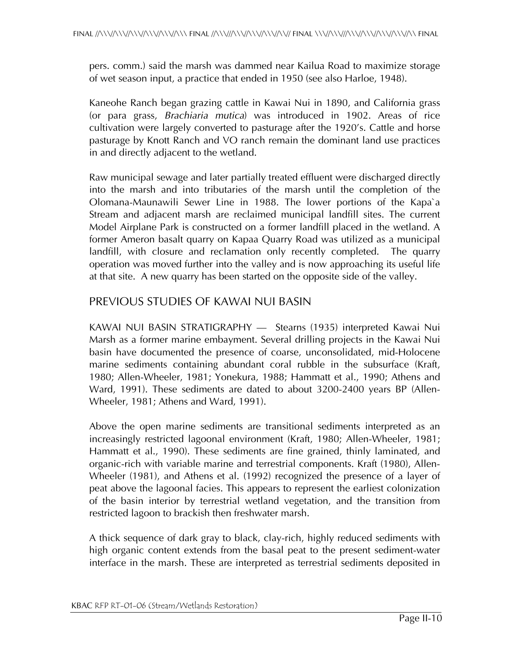pers. comm.) said the marsh was dammed near Kailua Road to maximize storage of wet season input, a practice that ended in 1950 (see also Harloe, 1948).

Kaneohe Ranch began grazing cattle in Kawai Nui in 1890, and California grass (or para grass, *Brachiaria mutica*) was introduced in 1902. Areas of rice cultivation were largely converted to pasturage after the 1920's. Cattle and horse pasturage by Knott Ranch and VO ranch remain the dominant land use practices in and directly adjacent to the wetland.

Raw municipal sewage and later partially treated effluent were discharged directly into the marsh and into tributaries of the marsh until the completion of the Olomana-Maunawili Sewer Line in 1988. The lower portions of the Kapa`a Stream and adjacent marsh are reclaimed municipal landfill sites. The current Model Airplane Park is constructed on a former landfill placed in the wetland. A former Ameron basalt quarry on Kapaa Quarry Road was utilized as a municipal landfill, with closure and reclamation only recently completed. The quarry operation was moved further into the valley and is now approaching its useful life at that site. A new quarry has been started on the opposite side of the valley.

#### PREVIOUS STUDIES OF KAWAI NUI BASIN

KAWAI NUI BASIN STRATIGRAPHY — Stearns (1935) interpreted Kawai Nui Marsh as a former marine embayment. Several drilling projects in the Kawai Nui basin have documented the presence of coarse, unconsolidated, mid-Holocene marine sediments containing abundant coral rubble in the subsurface (Kraft, 1980; Allen-Wheeler, 1981; Yonekura, 1988; Hammatt et al., 1990; Athens and Ward, 1991). These sediments are dated to about 3200-2400 years BP (Allen-Wheeler, 1981; Athens and Ward, 1991).

Above the open marine sediments are transitional sediments interpreted as an increasingly restricted lagoonal environment (Kraft, 1980; Allen-Wheeler, 1981; Hammatt et al., 1990). These sediments are fine grained, thinly laminated, and organic-rich with variable marine and terrestrial components. Kraft (1980), Allen-Wheeler (1981), and Athens et al. (1992) recognized the presence of a layer of peat above the lagoonal facies. This appears to represent the earliest colonization of the basin interior by terrestrial wetland vegetation, and the transition from restricted lagoon to brackish then freshwater marsh.

A thick sequence of dark gray to black, clay-rich, highly reduced sediments with high organic content extends from the basal peat to the present sediment-water interface in the marsh. These are interpreted as terrestrial sediments deposited in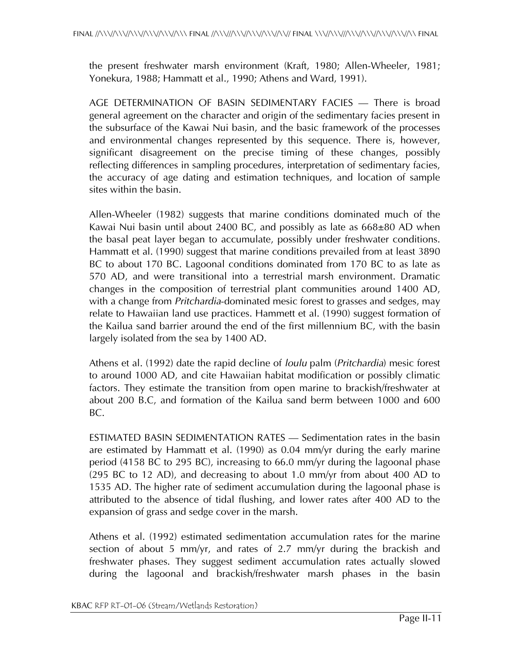the present freshwater marsh environment (Kraft, 1980; Allen-Wheeler, 1981; Yonekura, 1988; Hammatt et al., 1990; Athens and Ward, 1991).

AGE DETERMINATION OF BASIN SEDIMENTARY FACIES — There is broad general agreement on the character and origin of the sedimentary facies present in the subsurface of the Kawai Nui basin, and the basic framework of the processes and environmental changes represented by this sequence. There is, however, significant disagreement on the precise timing of these changes, possibly reflecting differences in sampling procedures, interpretation of sedimentary facies, the accuracy of age dating and estimation techniques, and location of sample sites within the basin.

Allen-Wheeler (1982) suggests that marine conditions dominated much of the Kawai Nui basin until about 2400 BC, and possibly as late as  $668\pm80$  AD when the basal peat layer began to accumulate, possibly under freshwater conditions. Hammatt et al. (1990) suggest that marine conditions prevailed from at least 3890 BC to about 170 BC. Lagoonal conditions dominated from 170 BC to as late as 570 AD, and were transitional into a terrestrial marsh environment. Dramatic changes in the composition of terrestrial plant communities around 1400 AD, with a change from *Pritchardia*-dominated mesic forest to grasses and sedges, may relate to Hawaiian land use practices. Hammett et al. (1990) suggest formation of the Kailua sand barrier around the end of the first millennium BC, with the basin largely isolated from the sea by 1400 AD.

Athens et al. (1992) date the rapid decline of *loulu* palm (*Pritchardia*) mesic forest to around 1000 AD, and cite Hawaiian habitat modification or possibly climatic factors. They estimate the transition from open marine to brackish/freshwater at about 200 B.C, and formation of the Kailua sand berm between 1000 and 600 BC.

ESTIMATED BASIN SEDIMENTATION RATES — Sedimentation rates in the basin are estimated by Hammatt et al. (1990) as 0.04 mm/yr during the early marine period (4158 BC to 295 BC), increasing to 66.0 mm/yr during the lagoonal phase (295 BC to 12 AD), and decreasing to about 1.0 mm/yr from about 400 AD to 1535 AD. The higher rate of sediment accumulation during the lagoonal phase is attributed to the absence of tidal flushing, and lower rates after 400 AD to the expansion of grass and sedge cover in the marsh.

Athens et al. (1992) estimated sedimentation accumulation rates for the marine section of about 5 mm/yr, and rates of 2.7 mm/yr during the brackish and freshwater phases. They suggest sediment accumulation rates actually slowed during the lagoonal and brackish/freshwater marsh phases in the basin